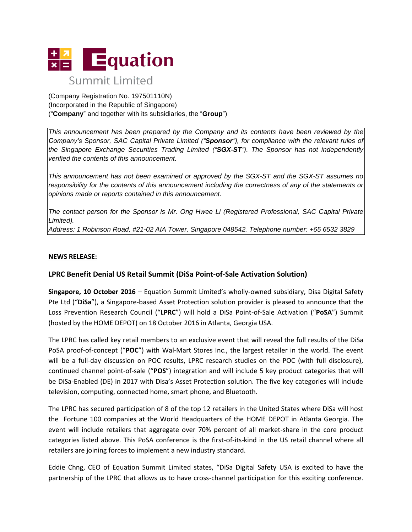

(Company Registration No. 197501110N) (Incorporated in the Republic of Singapore) ("**Company**" and together with its subsidiaries, the "**Group**")

*This announcement has been prepared by the Company and its contents have been reviewed by the Company's Sponsor, SAC Capital Private Limited ("Sponsor"), for compliance with the relevant rules of the Singapore Exchange Securities Trading Limited ("SGX-ST"). The Sponsor has not independently verified the contents of this announcement.*

*This announcement has not been examined or approved by the SGX-ST and the SGX-ST assumes no responsibility for the contents of this announcement including the correctness of any of the statements or opinions made or reports contained in this announcement.*

*The contact person for the Sponsor is Mr. Ong Hwee Li (Registered Professional, SAC Capital Private Limited).*

*Address: 1 Robinson Road, #21-02 AIA Tower, Singapore 048542. Telephone number: +65 6532 3829*

## **NEWS RELEASE:**

## **LPRC Benefit Denial US Retail Summit (DiSa Point-of-Sale Activation Solution)**

**Singapore, 10 October 2016** – Equation Summit Limited's wholly-owned subsidiary, Disa Digital Safety Pte Ltd ("**DiSa**"), a Singapore-based Asset Protection solution provider is pleased to announce that the Loss Prevention Research Council ("**LPRC**") will hold a DiSa Point-of-Sale Activation ("**PoSA**") Summit (hosted by the HOME DEPOT) on 18 October 2016 in Atlanta, Georgia USA.

The LPRC has called key retail members to an exclusive event that will reveal the full results of the DiSa PoSA proof-of-concept ("**POC**") with Wal-Mart Stores Inc., the largest retailer in the world. The event will be a full-day discussion on POC results, LPRC research studies on the POC (with full disclosure), continued channel point-of-sale ("**POS**") integration and will include 5 key product categories that will be DiSa-Enabled (DE) in 2017 with Disa's Asset Protection solution. The five key categories will include television, computing, connected home, smart phone, and Bluetooth.

The LPRC has secured participation of 8 of the top 12 retailers in the United States where DiSa will host the Fortune 100 companies at the World Headquarters of the HOME DEPOT in Atlanta Georgia. The event will include retailers that aggregate over 70% percent of all market-share in the core product categories listed above. This PoSA conference is the first-of-its-kind in the US retail channel where all retailers are joining forces to implement a new industry standard.

Eddie Chng, CEO of Equation Summit Limited states, "DiSa Digital Safety USA is excited to have the partnership of the LPRC that allows us to have cross-channel participation for this exciting conference.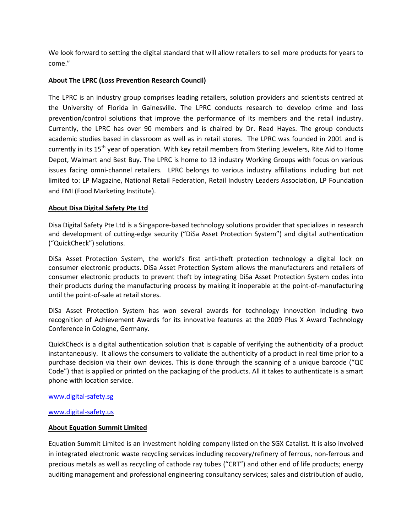We look forward to setting the digital standard that will allow retailers to sell more products for years to come."

## **About The LPRC (Loss Prevention Research Council)**

The LPRC is an industry group comprises leading retailers, solution providers and scientists centred at the University of Florida in Gainesville. The LPRC conducts research to develop crime and loss prevention/control solutions that improve the performance of its members and the retail industry. Currently, the LPRC has over 90 members and is chaired by Dr. Read Hayes. The group conducts academic studies based in classroom as well as in retail stores. The LPRC was founded in 2001 and is currently in its 15<sup>th</sup> year of operation. With key retail members from Sterling Jewelers, Rite Aid to Home Depot, Walmart and Best Buy. The LPRC is home to 13 industry Working Groups with focus on various issues facing omni-channel retailers. LPRC belongs to various industry affiliations including but not limited to: LP Magazine, National Retail Federation, Retail Industry Leaders Association, LP Foundation and FMI (Food Marketing Institute).

# **About Disa Digital Safety Pte Ltd**

Disa Digital Safety Pte Ltd is a Singapore-based technology solutions provider that specializes in research and development of cutting-edge security ("DiSa Asset Protection System") and digital authentication ("QuickCheck") solutions.

DiSa Asset Protection System, the world's first anti-theft protection technology a digital lock on consumer electronic products. DiSa Asset Protection System allows the manufacturers and retailers of consumer electronic products to prevent theft by integrating DiSa Asset Protection System codes into their products during the manufacturing process by making it inoperable at the point-of-manufacturing until the point-of-sale at retail stores.

DiSa Asset Protection System has won several awards for technology innovation including two recognition of Achievement Awards for its innovative features at the 2009 Plus X Award Technology Conference in Cologne, Germany.

QuickCheck is a digital authentication solution that is capable of verifying the authenticity of a product instantaneously. It allows the consumers to validate the authenticity of a product in real time prior to a purchase decision via their own devices. This is done through the scanning of a unique barcode ("QC Code") that is applied or printed on the packaging of the products. All it takes to authenticate is a smart phone with location service.

## [www.digital-safety.sg](http://www.digital-safety.sg/)

## [www.digital-safety.us](http://www.digital-safety.us/)

## **About Equation Summit Limited**

Equation Summit Limited is an investment holding company listed on the SGX Catalist. It is also involved in integrated electronic waste recycling services including recovery/refinery of ferrous, non-ferrous and precious metals as well as recycling of cathode ray tubes ("CRT") and other end of life products; energy auditing management and professional engineering consultancy services; sales and distribution of audio,